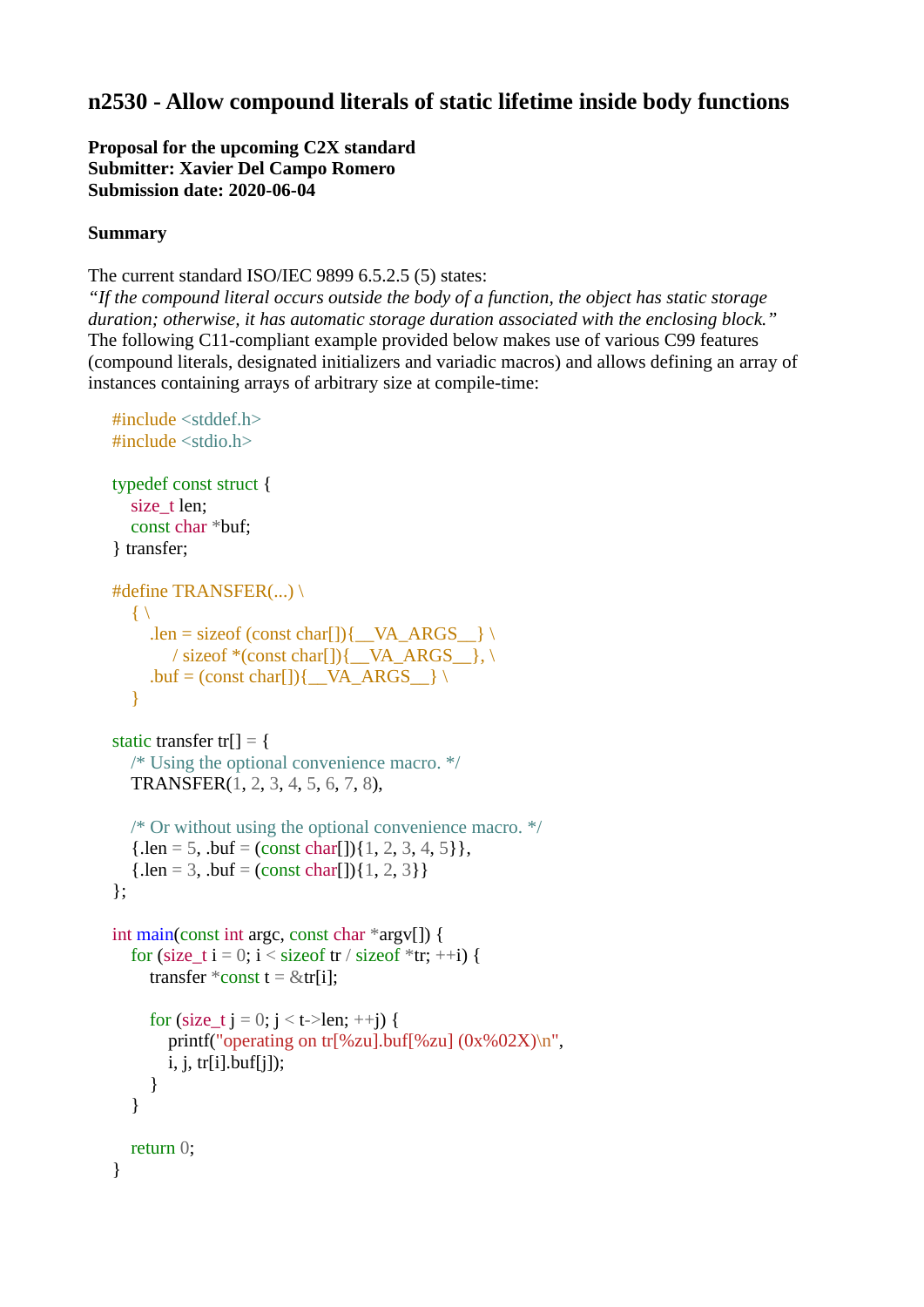# **n2530 - Allow compound literals of static lifetime inside body functions**

**Proposal for the upcoming C2X standard Submitter: Xavier Del Campo Romero Submission date: 2020-06-04**

#### **Summary**

The current standard ISO/IEC 9899 6.5.2.5 (5) states:

*"If the compound literal occurs outside the body of a function, the object has static storage duration; otherwise, it has automatic storage duration associated with the enclosing block."* The following C11-compliant example provided below makes use of various C99 features (compound literals, designated initializers and variadic macros) and allows defining an array of instances containing arrays of arbitrary size at compile-time:

```
#include <stddef.h>
\#include \ltstdio h>typedef const struct {
  size t len;
   const char *buf;
} transfer;
#define TRANSFER(...) \
  \{ \ \}.len = sizeof (const char[]){__VA_ARGS__} \
        / sizeof *(const char[]){__VA_ARGS__}, \
     .buf = (const char[]){\angle VA_ARGS_} \
    }
static transfer tr[] = {
   /* Using the optional convenience macro. */
   TRANSFER(1, 2, 3, 4, 5, 6, 7, 8),
   /* Or without using the optional convenience macro. */
  {len = 5, .buf = (const char[1], 2, 3, 4, 5},{len = 3, \text{ but } = (const \text{ char}[]){1, 2, 3}}};
int main(const int argc, const char *argv[]) {
  for (size_t i = 0; i < size of tr / size of *tr; ++i) {
     transfer *\text{const} t = &tr[i];
     for (size t j = 0; j < t->len; ++j) {
        printf("operating on tr[%zu].buf[%zu] (0x\%02X)\n",
        i, j, \text{tr}[i].buf[i]);
      }
   }
   return 0;
}
```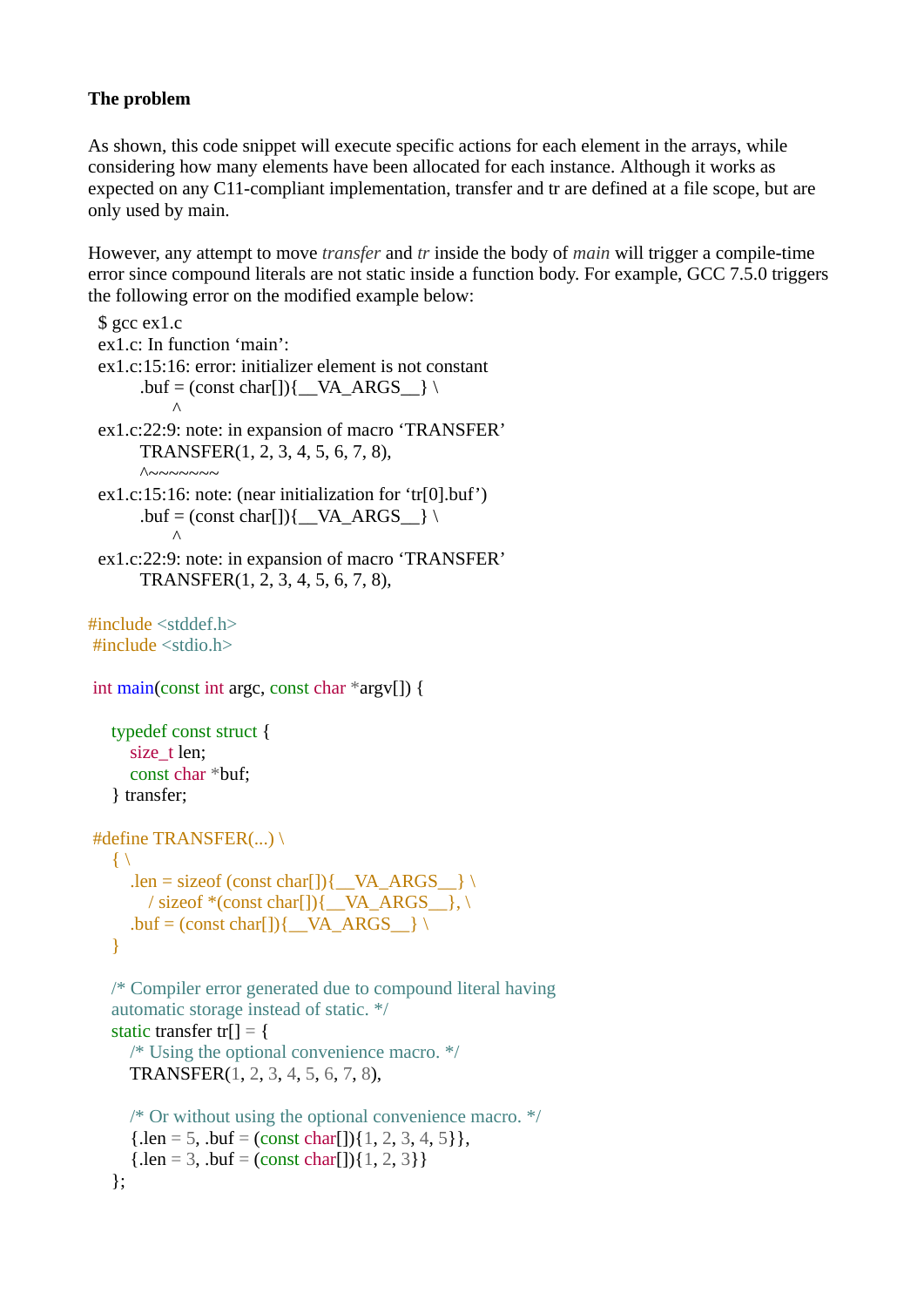## **The problem**

As shown, this code snippet will execute specific actions for each element in the arrays, while considering how many elements have been allocated for each instance. Although it works as expected on any C11-compliant implementation, transfer and tr are defined at a file scope, but are only used by main.

However, any attempt to move *transfer* and *tr* inside the body of *main* will trigger a compile-time error since compound literals are not static inside a function body. For example, GCC 7.5.0 triggers the following error on the modified example below:

```
\#include <stddef h>
#include <stdio.h>
int main(const int argc, const char *argv[]) {
    typedef const struct {
     size t len;
      const char *buf;
    } transfer;
#define TRANSFER(...) \
   \{\ \}len = sizeof (const char[]) { VA ARGS } \
        / sizeof *(const char[]){\angleVA_ARGS_}, \
     .buf = (const char[]){\angleVA_ARGS_} \
    }
    /* Compiler error generated due to compound literal having
    automatic storage instead of static. */
   static transfer tr[] = \{ /* Using the optional convenience macro. */
      TRANSFER(1, 2, 3, 4, 5, 6, 7, 8),
     /* Or without using the optional convenience macro. */
     {len = 5, \text{ but } = (const \text{ char}[1], 2, 3, 4, 5},
     {len = 3, \text{ but } = (const \text{ char}[]){1, 2, 3}} };
 $ gcc ex1.c 
 ex1.c: In function 'main':
 ex1.c:15:16: error: initializer element is not constant
       .buf = (const char[]){\angleVA_ARGS\angle} \
 \wedgeex1.c:22:9: note: in expansion of macro 'TRANSFER'
        TRANSFER(1, 2, 3, 4, 5, 6, 7, 8),
       \land~~~~~~~
 ex1.c:15:16: note: (near initialization for 'tr[0].buf')
       .buf = (const char[]){\_\text{VA}\_\text{ARGS}\_\text{} \
           \wedgeex1.c:22:9: note: in expansion of macro 'TRANSFER'
        TRANSFER(1, 2, 3, 4, 5, 6, 7, 8),
```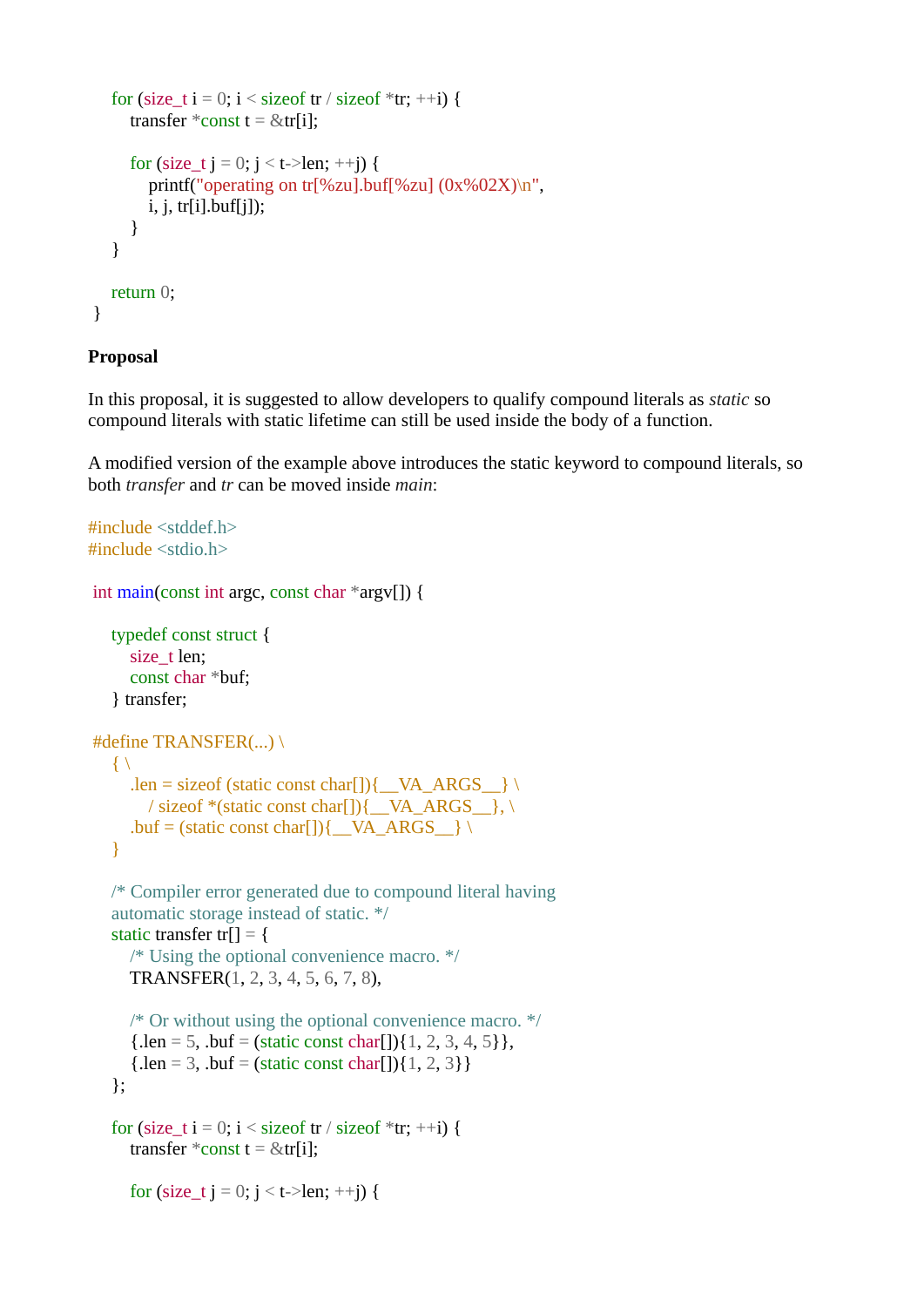```
for (size t i = 0; i < size f tr / size of *tr; ++i) {
     transfer *\text{const} t = &tr[i];
     for (size t j = 0; j < t->len; ++j) {
         printf("operating on tr[%zu].buf[%zu] (0x%02X)\n",
         i, j, tr[i].buf[j]);
      }
   }
   return 0;
}
```
### **Proposal**

In this proposal, it is suggested to allow developers to qualify compound literals as *static* so compound literals with static lifetime can still be used inside the body of a function.

A modified version of the example above introduces the static keyword to compound literals, so both *transfer* and *tr* can be moved inside *main*:

```
#include <stddef.h>
#include <stdio.h>
int main(const int argc, const char *argv[]) {
    typedef const struct {
     size t len;
       const char *buf;
    } transfer;
#define TRANSFER(...) \
   \{ \ \}.len = sizeof (static const char[]){\angleVA_ARGS_} \
        / sizeof *(static const char[]){__VA_ARGS__}, \
      .buf = (static const char[]){\angleVA_ARGS__} \
    }
    /* Compiler error generated due to compound literal having
    automatic storage instead of static. */
   static transfer tr[] = {
       /* Using the optional convenience macro. */
      TRANSFER(1, 2, 3, 4, 5, 6, 7, 8),
      /* Or without using the optional convenience macro. */
      {len = 5, \t{.}buf = (static const char[]){1, 2, 3, 4, 5}},{len = 3, \text{ but } = (\text{static const char}[1], 2, 3)} };
   for (size_t i = 0; i < size of tr / size of *tr; ++i) {
      transfer *\text{const} t = &tr[i];
      for (size_t j = 0; j < t->len; ++j) {
```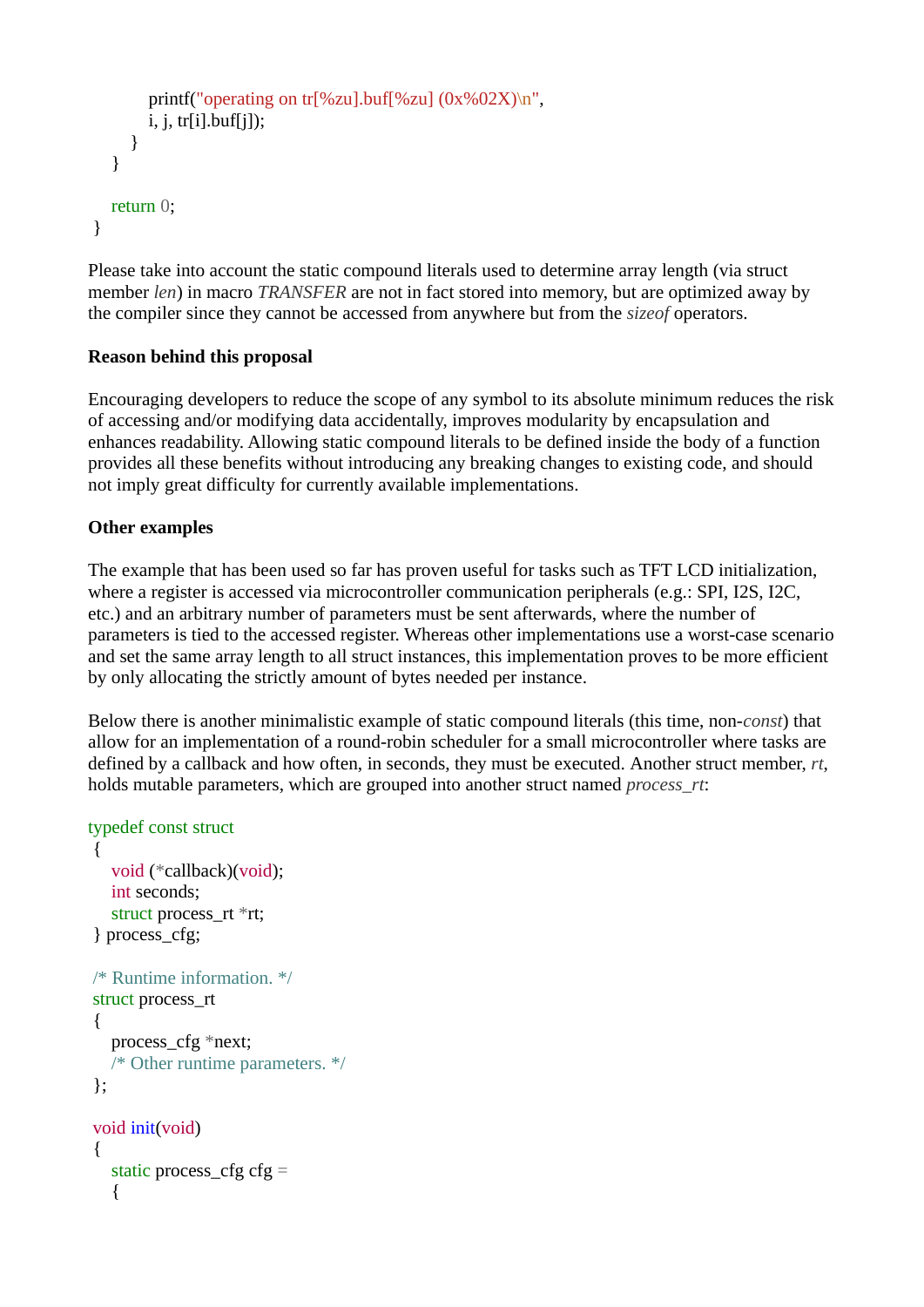```
printf("operating on tr[%zu].buf[%zu] (0x\%02X)\n",
        i, j, \text{tr}[i].buf[i]);
      }
   }
   return 0;
}
```
Please take into account the static compound literals used to determine array length (via struct member *len*) in macro *TRANSFER* are not in fact stored into memory, but are optimized away by the compiler since they cannot be accessed from anywhere but from the *sizeof* operators.

### **Reason behind this proposal**

Encouraging developers to reduce the scope of any symbol to its absolute minimum reduces the risk of accessing and/or modifying data accidentally, improves modularity by encapsulation and enhances readability. Allowing static compound literals to be defined inside the body of a function provides all these benefits without introducing any breaking changes to existing code, and should not imply great difficulty for currently available implementations.

### **Other examples**

The example that has been used so far has proven useful for tasks such as TFT LCD initialization, where a register is accessed via microcontroller communication peripherals (e.g.: SPI, I2S, I2C, etc.) and an arbitrary number of parameters must be sent afterwards, where the number of parameters is tied to the accessed register. Whereas other implementations use a worst-case scenario and set the same array length to all struct instances, this implementation proves to be more efficient by only allocating the strictly amount of bytes needed per instance.

Below there is another minimalistic example of static compound literals (this time, non-*const*) that allow for an implementation of a round-robin scheduler for a small microcontroller where tasks are defined by a callback and how often, in seconds, they must be executed. Another struct member, *rt*, holds mutable parameters, which are grouped into another struct named *process\_rt*:

```
typedef const struct
```

```
{
   void (*callback)(void);
   int seconds;
  struct process rt *rt;
} process_cfg;
/* Runtime information. */
struct process_rt
{
   process_cfg *next;
   /* Other runtime parameters. */
};
void init(void)
{
  static process_cfg cfg = {
```